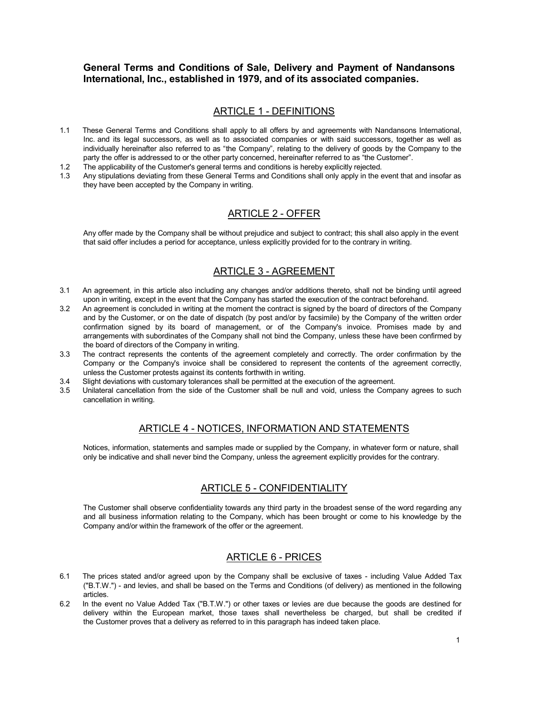#### **General Terms and Conditions of Sale, Delivery and Payment of Nandansons International, Inc., established in 1979, and of its associated companies.**

### ARTICLE 1 - DEFINITIONS

- 1.1 These General Terms and Conditions shall apply to all offers by and agreements with Nandansons International, Inc. and its legal successors, as well as to associated companies or with said successors, together as well as individually hereinafter also referred to as "the Company", relating to the delivery of goods by the Company to the party the offer is addressed to or the other party concerned, hereinafter referred to as "the Customer".
- 1.2 The applicability of the Customer's general terms and conditions is hereby explicitly rejected.
- 1.3 Any stipulations deviating from these General Terms and Conditions shall only apply in the event that and insofar as they have been accepted by the Company in writing.

# ARTICLE 2 - OFFER

Any offer made by the Company shall be without prejudice and subject to contract; this shall also apply in the event that said offer includes a period for acceptance, unless explicitly provided for to the contrary in writing.

# ARTICLE 3 - AGREEMENT

- 3.1 An agreement, in this article also including any changes and/or additions thereto, shall not be binding until agreed upon in writing, except in the event that the Company has started the execution of the contract beforehand.
- 3.2 An agreement is concluded in writing at the moment the contract is signed by the board of directors of the Company and by the Customer, or on the date of dispatch (by post and/or by facsimile) by the Company of the written order confirmation signed by its board of management, or of the Company's invoice. Promises made by and arrangements with subordinates of the Company shall not bind the Company, unless these have been confirmed by the board of directors of the Company in writing.
- 3.3 The contract represents the contents of the agreement completely and correctly. The order confirmation by the Company or the Company's invoice shall be considered to represent the contents of the agreement correctly, unless the Customer protests against its contents forthwith in writing.
- 3.4 Slight deviations with customary tolerances shall be permitted at the execution of the agreement.
- 3.5 Unilateral cancellation from the side of the Customer shall be null and void, unless the Company agrees to such cancellation in writing.

# ARTICLE 4 - NOTICES, INFORMATION AND STATEMENTS

Notices, information, statements and samples made or supplied by the Company, in whatever form or nature, shall only be indicative and shall never bind the Company, unless the agreement explicitly provides for the contrary.

# ARTICLE 5 - CONFIDENTIALITY

The Customer shall observe confidentiality towards any third party in the broadest sense of the word regarding any and all business information relating to the Company, which has been brought or come to his knowledge by the Company and/or within the framework of the offer or the agreement.

# ARTICLE 6 - PRICES

- 6.1 The prices stated and/or agreed upon by the Company shall be exclusive of taxes including Value Added Tax ("B.T.W.") - and levies, and shall be based on the Terms and Conditions (of delivery) as mentioned in the following articles.
- 6.2 In the event no Value Added Tax ("B.T.W.") or other taxes or levies are due because the goods are destined for delivery within the European market, those taxes shall nevertheless be charged, but shall be credited if the Customer proves that a delivery as referred to in this paragraph has indeed taken place.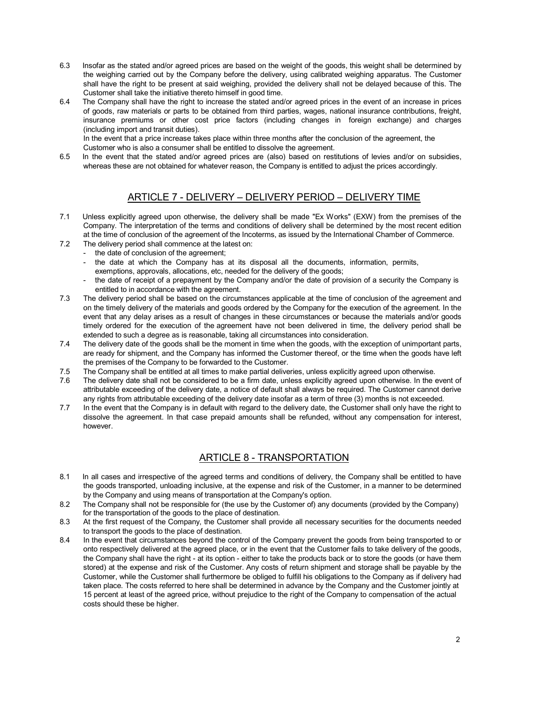- 6.3 Insofar as the stated and/or agreed prices are based on the weight of the goods, this weight shall be determined by the weighing carried out by the Company before the delivery, using calibrated weighing apparatus. The Customer shall have the right to be present at said weighing, provided the delivery shall not be delayed because of this. The Customer shall take the initiative thereto himself in good time.
- 6.4 The Company shall have the right to increase the stated and/or agreed prices in the event of an increase in prices of goods, raw materials or parts to be obtained from third parties, wages, national insurance contributions, freight, insurance premiums or other cost price factors (including changes in foreign exchange) and charges (including import and transit duties).

In the event that a price increase takes place within three months after the conclusion of the agreement, the Customer who is also a consumer shall be entitled to dissolve the agreement.

6.5 In the event that the stated and/or agreed prices are (also) based on restitutions of levies and/or on subsidies, whereas these are not obtained for whatever reason, the Company is entitled to adjust the prices accordingly.

### ARTICLE 7 - DELIVERY – DELIVERY PERIOD – DELIVERY TIME

- 7.1 Unless explicitly agreed upon otherwise, the delivery shall be made "Ex Works" (EXW) from the premises of the Company. The interpretation of the terms and conditions of delivery shall be determined by the most recent edition at the time of conclusion of the agreement of the Incoterms, as issued by the International Chamber of Commerce.
- 7.2 The delivery period shall commence at the latest on:
	- the date of conclusion of the agreement;
		- the date at which the Company has at its disposal all the documents, information, permits, exemptions, approvals, allocations, etc, needed for the delivery of the goods;
	- the date of receipt of a prepayment by the Company and/or the date of provision of a security the Company is entitled to in accordance with the agreement.
- 7.3 The delivery period shall be based on the circumstances applicable at the time of conclusion of the agreement and on the timely delivery of the materials and goods ordered by the Company for the execution of the agreement. In the event that any delay arises as a result of changes in these circumstances or because the materials and/or goods timely ordered for the execution of the agreement have not been delivered in time, the delivery period shall be extended to such a degree as is reasonable, taking all circumstances into consideration.
- 7.4 The delivery date of the goods shall be the moment in time when the goods, with the exception of unimportant parts, are ready for shipment, and the Company has informed the Customer thereof, or the time when the goods have left the premises of the Company to be forwarded to the Customer.
- 7.5 The Company shall be entitled at all times to make partial deliveries, unless explicitly agreed upon otherwise.
- 7.6 The delivery date shall not be considered to be a firm date, unless explicitly agreed upon otherwise. In the event of attributable exceeding of the delivery date, a notice of default shall always be required. The Customer cannot derive any rights from attributable exceeding of the delivery date insofar as a term of three (3) months is not exceeded.
- 7.7 In the event that the Company is in default with regard to the delivery date, the Customer shall only have the right to dissolve the agreement. In that case prepaid amounts shall be refunded, without any compensation for interest, however.

# ARTICLE 8 - TRANSPORTATION

- 8.1 In all cases and irrespective of the agreed terms and conditions of delivery, the Company shall be entitled to have the goods transported, unloading inclusive, at the expense and risk of the Customer, in a manner to be determined by the Company and using means of transportation at the Company's option.
- 8.2 The Company shall not be responsible for (the use by the Customer of) any documents (provided by the Company) for the transportation of the goods to the place of destination.
- 8.3 At the first request of the Company, the Customer shall provide all necessary securities for the documents needed to transport the goods to the place of destination.
- 8.4 In the event that circumstances beyond the control of the Company prevent the goods from being transported to or onto respectively delivered at the agreed place, or in the event that the Customer fails to take delivery of the goods, the Company shall have the right - at its option - either to take the products back or to store the goods (or have them stored) at the expense and risk of the Customer. Any costs of return shipment and storage shall be payable by the Customer, while the Customer shall furthermore be obliged to fulfill his obligations to the Company as if delivery had taken place. The costs referred to here shall be determined in advance by the Company and the Customer jointly at 15 percent at least of the agreed price, without prejudice to the right of the Company to compensation of the actual costs should these be higher.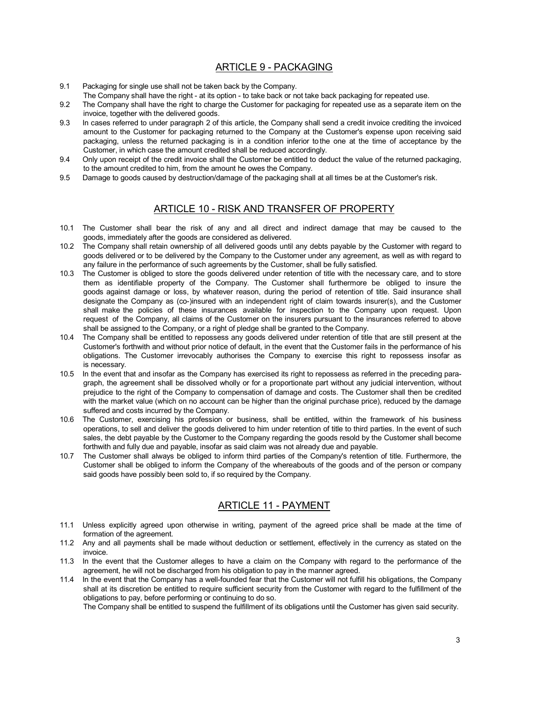# ARTICLE 9 - PACKAGING

- 9.1 Packaging for single use shall not be taken back by the Company.
- The Company shall have the right at its option to take back or not take back packaging for repeated use.
- 9.2 The Company shall have the right to charge the Customer for packaging for repeated use as a separate item on the invoice, together with the delivered goods.
- 9.3 In cases referred to under paragraph 2 of this article, the Company shall send a credit invoice crediting the invoiced amount to the Customer for packaging returned to the Company at the Customer's expense upon receiving said packaging, unless the returned packaging is in a condition inferior to the one at the time of acceptance by the Customer, in which case the amount credited shall be reduced accordingly.
- 9.4 Only upon receipt of the credit invoice shall the Customer be entitled to deduct the value of the returned packaging, to the amount credited to him, from the amount he owes the Company.
- 9.5 Damage to goods caused by destruction/damage of the packaging shall at all times be at the Customer's risk.

### ARTICLE 10 - RISK AND TRANSFER OF PROPERTY

- 10.1 The Customer shall bear the risk of any and all direct and indirect damage that may be caused to the goods, immediately after the goods are considered as delivered.
- 10.2 The Company shall retain ownership of all delivered goods until any debts payable by the Customer with regard to goods delivered or to be delivered by the Company to the Customer under any agreement, as well as with regard to any failure in the performance of such agreements by the Customer, shall be fully satisfied.
- 10.3 The Customer is obliged to store the goods delivered under retention of title with the necessary care, and to store them as identifiable property of the Company. The Customer shall furthermore be obliged to insure the goods against damage or loss, by whatever reason, during the period of retention of title. Said insurance shall designate the Company as (co-)insured with an independent right of claim towards insurer(s), and the Customer shall make the policies of these insurances available for inspection to the Company upon request. Upon request of the Company, all claims of the Customer on the insurers pursuant to the insurances referred to above shall be assigned to the Company, or a right of pledge shall be granted to the Company.
- 10.4 The Company shall be entitled to repossess any goods delivered under retention of title that are still present at the Customer's forthwith and without prior notice of default, in the event that the Customer fails in the performance of his obligations. The Customer irrevocably authorises the Company to exercise this right to repossess insofar as is necessary.
- 10.5 In the event that and insofar as the Company has exercised its right to repossess as referred in the preceding paragraph, the agreement shall be dissolved wholly or for a proportionate part without any judicial intervention, without prejudice to the right of the Company to compensation of damage and costs. The Customer shall then be credited with the market value (which on no account can be higher than the original purchase price), reduced by the damage suffered and costs incurred by the Company.
- 10.6 The Customer, exercising his profession or business, shall be entitled, within the framework of his business operations, to sell and deliver the goods delivered to him under retention of title to third parties. In the event of such sales, the debt payable by the Customer to the Company regarding the goods resold by the Customer shall become forthwith and fully due and payable, insofar as said claim was not already due and payable.
- 10.7 The Customer shall always be obliged to inform third parties of the Company's retention of title. Furthermore, the Customer shall be obliged to inform the Company of the whereabouts of the goods and of the person or company said goods have possibly been sold to, if so required by the Company.

### ARTICLE 11 - PAYMENT

- 11.1 Unless explicitly agreed upon otherwise in writing, payment of the agreed price shall be made at the time of formation of the agreement.
- 11.2 Any and all payments shall be made without deduction or settlement, effectively in the currency as stated on the invoice.
- 11.3 In the event that the Customer alleges to have a claim on the Company with regard to the performance of the agreement, he will not be discharged from his obligation to pay in the manner agreed.
- 11.4 In the event that the Company has a well-founded fear that the Customer will not fulfill his obligations, the Company shall at its discretion be entitled to require sufficient security from the Customer with regard to the fulfillment of the obligations to pay, before performing or continuing to do so.

The Company shall be entitled to suspend the fulfillment of its obligations until the Customer has given said security.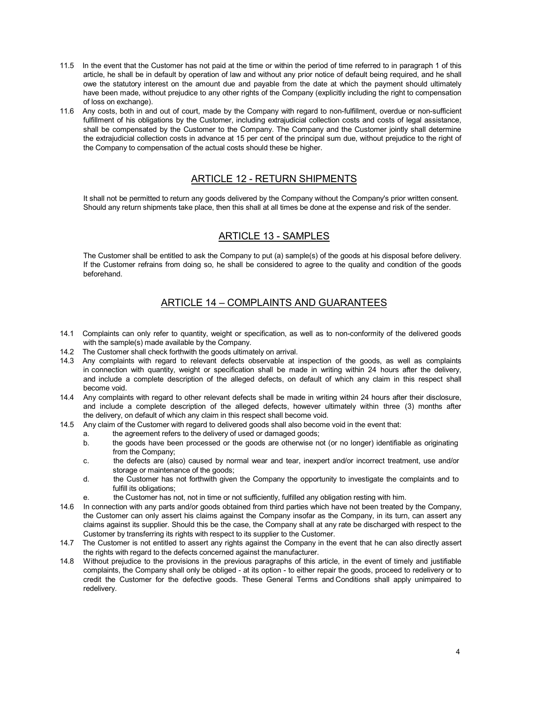- 11.5 In the event that the Customer has not paid at the time or within the period of time referred to in paragraph 1 of this article, he shall be in default by operation of law and without any prior notice of default being required, and he shall owe the statutory interest on the amount due and payable from the date at which the payment should ultimately have been made, without prejudice to any other rights of the Company (explicitly including the right to compensation of loss on exchange).
- 11.6 Any costs, both in and out of court, made by the Company with regard to non-fulfillment, overdue or non-sufficient fulfillment of his obligations by the Customer, including extrajudicial collection costs and costs of legal assistance, shall be compensated by the Customer to the Company. The Company and the Customer jointly shall determine the extrajudicial collection costs in advance at 15 per cent of the principal sum due, without prejudice to the right of the Company to compensation of the actual costs should these be higher.

### ARTICLE 12 - RETURN SHIPMENTS

It shall not be permitted to return any goods delivered by the Company without the Company's prior written consent. Should any return shipments take place, then this shall at all times be done at the expense and risk of the sender.

### ARTICLE 13 - SAMPLES

The Customer shall be entitled to ask the Company to put (a) sample(s) of the goods at his disposal before delivery. If the Customer refrains from doing so, he shall be considered to agree to the quality and condition of the goods beforehand.

# ARTICLE 14 – COMPLAINTS AND GUARANTEES

- 14.1 Complaints can only refer to quantity, weight or specification, as well as to non-conformity of the delivered goods with the sample(s) made available by the Company.
- 14.2 The Customer shall check forthwith the goods ultimately on arrival.
- 14.3 Any complaints with regard to relevant defects observable at inspection of the goods, as well as complaints in connection with quantity, weight or specification shall be made in writing within 24 hours after the delivery, and include a complete description of the alleged defects, on default of which any claim in this respect shall become void.
- 14.4 Any complaints with regard to other relevant defects shall be made in writing within 24 hours after their disclosure, and include a complete description of the alleged defects, however ultimately within three (3) months after the delivery, on default of which any claim in this respect shall become void.
- 14.5 Any claim of the Customer with regard to delivered goods shall also become void in the event that:
	- a. the agreement refers to the delivery of used or damaged goods;
		- b. the goods have been processed or the goods are otherwise not (or no longer) identifiable as originating from the Company;
		- c. the defects are (also) caused by normal wear and tear, inexpert and/or incorrect treatment, use and/or storage or maintenance of the goods;
		- d. the Customer has not forthwith given the Company the opportunity to investigate the complaints and to fulfill its obligations;
		- e. the Customer has not, not in time or not sufficiently, fulfilled any obligation resting with him.
- 14.6 In connection with any parts and/or goods obtained from third parties which have not been treated by the Company, the Customer can only assert his claims against the Company insofar as the Company, in its turn, can assert any claims against its supplier. Should this be the case, the Company shall at any rate be discharged with respect to the Customer by transferring its rights with respect to its supplier to the Customer.
- 14.7 The Customer is not entitled to assert any rights against the Company in the event that he can also directly assert the rights with regard to the defects concerned against the manufacturer.
- 14.8 Without prejudice to the provisions in the previous paragraphs of this article, in the event of timely and justifiable complaints, the Company shall only be obliged - at its option - to either repair the goods, proceed to redelivery or to credit the Customer for the defective goods. These General Terms and Conditions shall apply unimpaired to redelivery.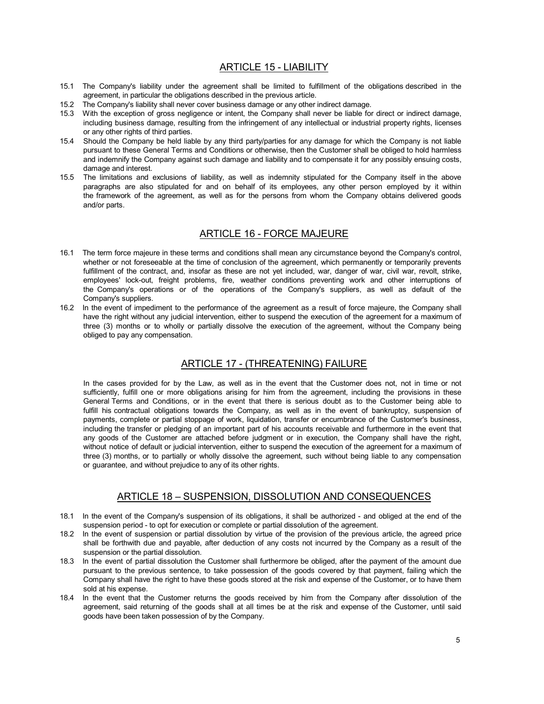### ARTICLE 15 - LIABILITY

- 15.1 The Company's liability under the agreement shall be limited to fulfillment of the obligations described in the agreement, in particular the obligations described in the previous article.
- 15.2 The Company's liability shall never cover business damage or any other indirect damage.
- 15.3 With the exception of gross negligence or intent, the Company shall never be liable for direct or indirect damage, including business damage, resulting from the infringement of any intellectual or industrial property rights, licenses or any other rights of third parties.
- 15.4 Should the Company be held liable by any third party/parties for any damage for which the Company is not liable pursuant to these General Terms and Conditions or otherwise, then the Customer shall be obliged to hold harmless and indemnify the Company against such damage and liability and to compensate it for any possibly ensuing costs, damage and interest.
- 15.5 The limitations and exclusions of liability, as well as indemnity stipulated for the Company itself in the above paragraphs are also stipulated for and on behalf of its employees, any other person employed by it within the framework of the agreement, as well as for the persons from whom the Company obtains delivered goods and/or parts.

#### ARTICLE 16 - FORCE MAJEURE

- 16.1 The term force majeure in these terms and conditions shall mean any circumstance beyond the Company's control, whether or not foreseeable at the time of conclusion of the agreement, which permanently or temporarily prevents fulfillment of the contract, and, insofar as these are not yet included, war, danger of war, civil war, revolt, strike, employees' lock-out, freight problems, fire, weather conditions preventing work and other interruptions of the Company's operations or of the operations of the Company's suppliers, as well as default of the Company's suppliers.
- 16.2 In the event of impediment to the performance of the agreement as a result of force majeure, the Company shall have the right without any judicial intervention, either to suspend the execution of the agreement for a maximum of three (3) months or to wholly or partially dissolve the execution of the agreement, without the Company being obliged to pay any compensation.

# ARTICLE 17 - (THREATENING) FAILURE

In the cases provided for by the Law, as well as in the event that the Customer does not, not in time or not sufficiently, fulfill one or more obligations arising for him from the agreement, including the provisions in these General Terms and Conditions, or in the event that there is serious doubt as to the Customer being able to fulfill his contractual obligations towards the Company, as well as in the event of bankruptcy, suspension of payments, complete or partial stoppage of work, liquidation, transfer or encumbrance of the Customer's business, including the transfer or pledging of an important part of his accounts receivable and furthermore in the event that any goods of the Customer are attached before judgment or in execution, the Company shall have the right, without notice of default or judicial intervention, either to suspend the execution of the agreement for a maximum of three (3) months, or to partially or wholly dissolve the agreement, such without being liable to any compensation or guarantee, and without prejudice to any of its other rights.

### ARTICLE 18 – SUSPENSION, DISSOLUTION AND CONSEQUENCES

- 18.1 In the event of the Company's suspension of its obligations, it shall be authorized and obliged at the end of the suspension period - to opt for execution or complete or partial dissolution of the agreement.
- 18.2 In the event of suspension or partial dissolution by virtue of the provision of the previous article, the agreed price shall be forthwith due and payable, after deduction of any costs not incurred by the Company as a result of the suspension or the partial dissolution.
- 18.3 In the event of partial dissolution the Customer shall furthermore be obliged, after the payment of the amount due pursuant to the previous sentence, to take possession of the goods covered by that payment, failing which the Company shall have the right to have these goods stored at the risk and expense of the Customer, or to have them sold at his expense.
- 18.4 In the event that the Customer returns the goods received by him from the Company after dissolution of the agreement, said returning of the goods shall at all times be at the risk and expense of the Customer, until said goods have been taken possession of by the Company.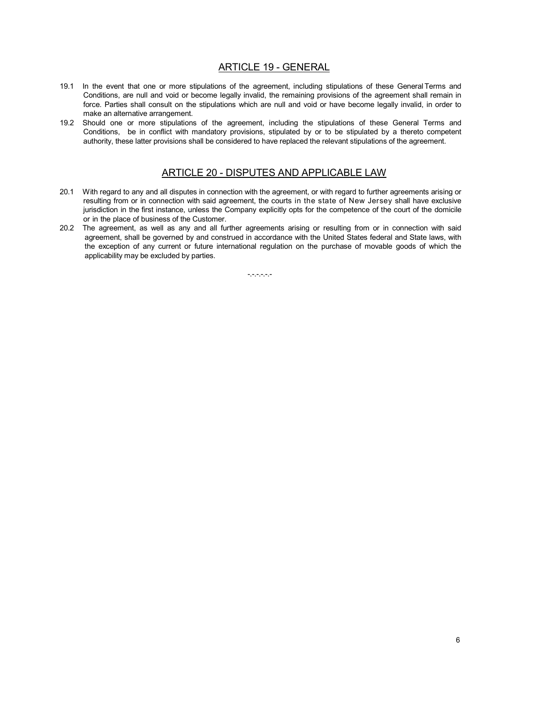#### ARTICLE 19 - GENERAL

- 19.1 In the event that one or more stipulations of the agreement, including stipulations of these General Terms and Conditions, are null and void or become legally invalid, the remaining provisions of the agreement shall remain in force. Parties shall consult on the stipulations which are null and void or have become legally invalid, in order to make an alternative arrangement.
- 19.2 Should one or more stipulations of the agreement, including the stipulations of these General Terms and Conditions, be in conflict with mandatory provisions, stipulated by or to be stipulated by a thereto competent authority, these latter provisions shall be considered to have replaced the relevant stipulations of the agreement.

### ARTICLE 20 - DISPUTES AND APPLICABLE LAW

- 20.1 With regard to any and all disputes in connection with the agreement, or with regard to further agreements arising or resulting from or in connection with said agreement, the courts in the state of New Jersey shall have exclusive jurisdiction in the first instance, unless the Company explicitly opts for the competence of the court of the domicile or in the place of business of the Customer.
- 20.2 The agreement, as well as any and all further agreements arising or resulting from or in connection with said agreement, shall be governed by and construed in accordance with the United States federal and State laws, with the exception of any current or future international regulation on the purchase of movable goods of which the applicability may be excluded by parties.

 $-,-,-,-,-$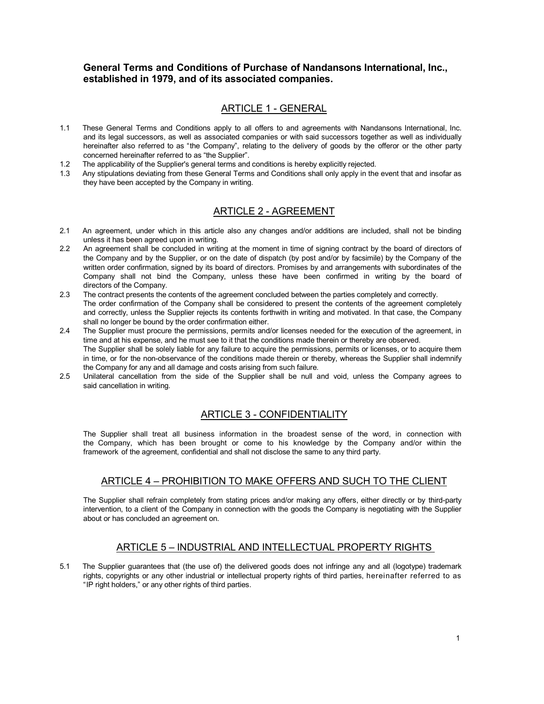### **General Terms and Conditions of Purchase of Nandansons International, Inc., established in 1979, and of its associated companies.**

### ARTICLE 1 - GENERAL

- 1.1 These General Terms and Conditions apply to all offers to and agreements with Nandansons International, Inc. and its legal successors, as well as associated companies or with said successors together as well as individually hereinafter also referred to as "the Company", relating to the delivery of goods by the offeror or the other party concerned hereinafter referred to as "the Supplier".
- 1.2 The applicability of the Supplier's general terms and conditions is hereby explicitly rejected.
- 1.3 Any stipulations deviating from these General Terms and Conditions shall only apply in the event that and insofar as they have been accepted by the Company in writing.

#### ARTICLE 2 - AGREEMENT

- 2.1 An agreement, under which in this article also any changes and/or additions are included, shall not be binding unless it has been agreed upon in writing.
- 2.2 An agreement shall be concluded in writing at the moment in time of signing contract by the board of directors of the Company and by the Supplier, or on the date of dispatch (by post and/or by facsimile) by the Company of the written order confirmation, signed by its board of directors. Promises by and arrangements with subordinates of the Company shall not bind the Company, unless these have been confirmed in writing by the board of directors of the Company.
- 2.3 The contract presents the contents of the agreement concluded between the parties completely and correctly. The order confirmation of the Company shall be considered to present the contents of the agreement completely and correctly, unless the Supplier rejects its contents forthwith in writing and motivated. In that case, the Company shall no longer be bound by the order confirmation either.
- 2.4 The Supplier must procure the permissions, permits and/or licenses needed for the execution of the agreement, in time and at his expense, and he must see to it that the conditions made therein or thereby are observed. The Supplier shall be solely liable for any failure to acquire the permissions, permits or licenses, or to acquire them in time, or for the non-observance of the conditions made therein or thereby, whereas the Supplier shall indemnify the Company for any and all damage and costs arising from such failure.
- 2.5 Unilateral cancellation from the side of the Supplier shall be null and void, unless the Company agrees to said cancellation in writing.

### ARTICLE 3 - CONFIDENTIALITY

The Supplier shall treat all business information in the broadest sense of the word, in connection with the Company, which has been brought or come to his knowledge by the Company and/or within the framework of the agreement, confidential and shall not disclose the same to any third party.

### ARTICLE 4 – PROHIBITION TO MAKE OFFERS AND SUCH TO THE CLIENT

The Supplier shall refrain completely from stating prices and/or making any offers, either directly or by third-party intervention, to a client of the Company in connection with the goods the Company is negotiating with the Supplier about or has concluded an agreement on.

### ARTICLE 5 – INDUSTRIAL AND INTELLECTUAL PROPERTY RIGHTS

5.1 The Supplier guarantees that (the use of) the delivered goods does not infringe any and all (logotype) trademark rights, copyrights or any other industrial or intellectual property rights of third parties, hereinafter referred to as "IP right holders," or any other rights of third parties.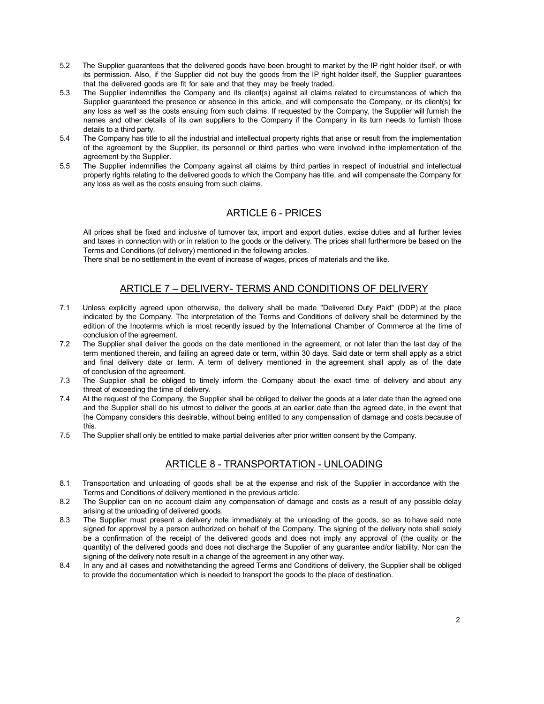- 5.2 The Supplier guarantees that the delivered goods have been brought to market by the IP right holder itself, or with its permission. Also, if the Supplier did not buy the goods from the IP right holder itself, the Supplier guarantees that the delivered goods are fit for sale and that they may be freely traded.
- 5.3 The Supplier indemnifies the Company and its client(s) against all claims related to circumstances of which the Supplier guaranteed the presence or absence in this article, and will compensate the Company, or its client(s) for any loss as well as the costs ensuing from such claims. If requested by the Company, the Supplier will furnish the names and other details of its own suppliers to the Company if the Company in its turn needs to furnish those details to a third party.
- 5.4 The Company has title to all the industrial and intellectual property rights that arise or result from the implementation of the agreement by the Supplier, its personnel or third parties who were involved in the implementation of the agreement by the Supplier.
- 5.5 The Supplier indemnifies the Company against all claims by third parties in respect of industrial and intellectual property rights relating to the delivered goods to which the Company has title, and will compensate the Company for any loss as well as the costs ensuing from such claims.

### ARTICLE 6 - PRICES

All prices shall be fixed and inclusive of turnover tax, import and export duties, excise duties and all further levies and taxes in connection with or in relation to the goods or the delivery. The prices shall furthermore be based on the Terms and Conditions (of delivery) mentioned in the following articles.

There shall be no settlement in the event of increase of wages, prices of materials and the like.

# ARTICLE 7 – DELIVERY- TERMS AND CONDITIONS OF DELIVERY

- 7.1 Unless explicitly agreed upon otherwise, the delivery shall be made "Delivered Duty Paid" (DDP) at the place indicated by the Company. The interpretation of the Terms and Conditions of delivery shall be determined by the edition of the Incoterms which is most recently issued by the International Chamber of Commerce at the time of conclusion of the agreement.
- 7.2 The Supplier shall deliver the goods on the date mentioned in the agreement, or not later than the last day of the term mentioned therein, and failing an agreed date or term, within 30 days. Said date or term shall apply as a strict and final delivery date or term. A term of delivery mentioned in the agreement shall apply as of the date of conclusion of the agreement.
- 7.3 The Supplier shall be obliged to timely inform the Company about the exact time of delivery and about any threat of exceeding the time of delivery.
- 7.4 At the request of the Company, the Supplier shall be obliged to deliver the goods at a later date than the agreed one and the Supplier shall do his utmost to deliver the goods at an earlier date than the agreed date, in the event that the Company considers this desirable, without being entitled to any compensation of damage and costs because of this.
- 7.5 The Supplier shall only be entitled to make partial deliveries after prior written consent by the Company.

### ARTICLE 8 - TRANSPORTATION - UNLOADING

- 8.1 Transportation and unloading of goods shall be at the expense and risk of the Supplier in accordance with the Terms and Conditions of delivery mentioned in the previous article.
- 8.2 The Supplier can on no account claim any compensation of damage and costs as a result of any possible delay arising at the unloading of delivered goods.
- 8.3 The Supplier must present a delivery note immediately at the unloading of the goods, so as to have said note signed for approval by a person authorized on behalf of the Company. The signing of the delivery note shall solely be a confirmation of the receipt of the delivered goods and does not imply any approval of (the quality or the quantity) of the delivered goods and does not discharge the Supplier of any guarantee and/or liability. Nor can the signing of the delivery note result in a change of the agreement in any other way.
- 8.4 In any and all cases and notwithstanding the agreed Terms and Conditions of delivery, the Supplier shall be obliged to provide the documentation which is needed to transport the goods to the place of destination.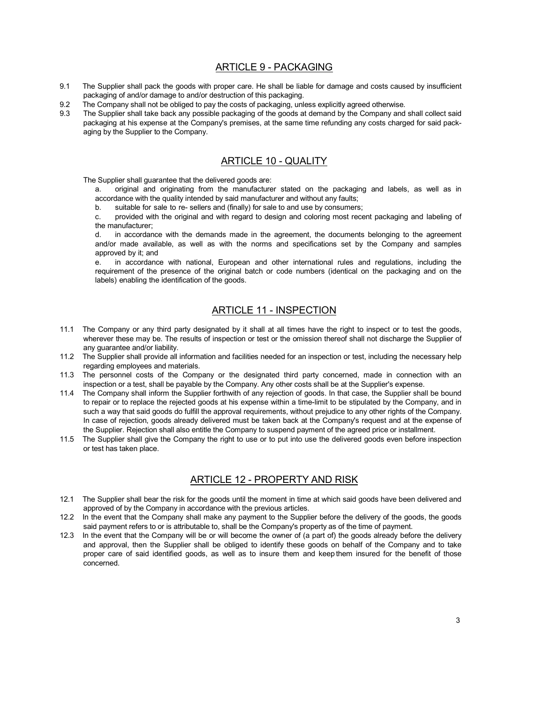#### ARTICLE 9 - PACKAGING

- 9.1 The Supplier shall pack the goods with proper care. He shall be liable for damage and costs caused by insufficient packaging of and/or damage to and/or destruction of this packaging.
- 9.2 The Company shall not be obliged to pay the costs of packaging, unless explicitly agreed otherwise.
- 9.3 The Supplier shall take back any possible packaging of the goods at demand by the Company and shall collect said packaging at his expense at the Company's premises, at the same time refunding any costs charged for said packaging by the Supplier to the Company.

### ARTICLE 10 - QUALITY

The Supplier shall guarantee that the delivered goods are:

a. original and originating from the manufacturer stated on the packaging and labels, as well as in accordance with the quality intended by said manufacturer and without any faults;

b. suitable for sale to re- sellers and (finally) for sale to and use by consumers;

c. provided with the original and with regard to design and coloring most recent packaging and labeling of the manufacturer;

d. in accordance with the demands made in the agreement, the documents belonging to the agreement and/or made available, as well as with the norms and specifications set by the Company and samples approved by it; and

e. in accordance with national, European and other international rules and regulations, including the requirement of the presence of the original batch or code numbers (identical on the packaging and on the labels) enabling the identification of the goods.

#### ARTICLE 11 - INSPECTION

- 11.1 The Company or any third party designated by it shall at all times have the right to inspect or to test the goods, wherever these may be. The results of inspection or test or the omission thereof shall not discharge the Supplier of any guarantee and/or liability.
- 11.2 The Supplier shall provide all information and facilities needed for an inspection or test, including the necessary help regarding employees and materials.
- 11.3 The personnel costs of the Company or the designated third party concerned, made in connection with an inspection or a test, shall be payable by the Company. Any other costs shall be at the Supplier's expense.
- 11.4 The Company shall inform the Supplier forthwith of any rejection of goods. In that case, the Supplier shall be bound to repair or to replace the rejected goods at his expense within a time-limit to be stipulated by the Company, and in such a way that said goods do fulfill the approval requirements, without prejudice to any other rights of the Company. In case of rejection, goods already delivered must be taken back at the Company's request and at the expense of the Supplier. Rejection shall also entitle the Company to suspend payment of the agreed price or installment.
- 11.5 The Supplier shall give the Company the right to use or to put into use the delivered goods even before inspection or test has taken place.

# ARTICLE 12 - PROPERTY AND RISK

- 12.1 The Supplier shall bear the risk for the goods until the moment in time at which said goods have been delivered and approved of by the Company in accordance with the previous articles.
- 12.2 In the event that the Company shall make any payment to the Supplier before the delivery of the goods, the goods said payment refers to or is attributable to, shall be the Company's property as of the time of payment.
- 12.3 In the event that the Company will be or will become the owner of (a part of) the goods already before the delivery and approval, then the Supplier shall be obliged to identify these goods on behalf of the Company and to take proper care of said identified goods, as well as to insure them and keep them insured for the benefit of those concerned.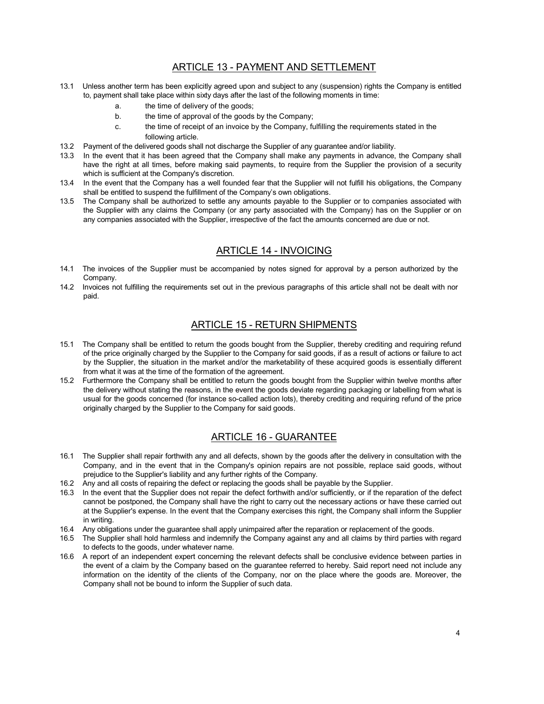### ARTICLE 13 - PAYMENT AND SETTLEMENT

- 13.1 Unless another term has been explicitly agreed upon and subject to any (suspension) rights the Company is entitled to, payment shall take place within sixty days after the last of the following moments in time:
	- a. the time of delivery of the goods;
	- b. the time of approval of the goods by the Company;
	- c. the time of receipt of an invoice by the Company, fulfilling the requirements stated in the following article.
- 13.2 Payment of the delivered goods shall not discharge the Supplier of any guarantee and/or liability.<br>13.3 In the event that it has been agreed that the Company shall make any nayments in advance.
- In the event that it has been agreed that the Company shall make any payments in advance, the Company shall have the right at all times, before making said payments, to require from the Supplier the provision of a security which is sufficient at the Company's discretion.
- 13.4 In the event that the Company has a well founded fear that the Supplier will not fulfill his obligations, the Company shall be entitled to suspend the fulfillment of the Company's own obligations.
- 13.5 The Company shall be authorized to settle any amounts payable to the Supplier or to companies associated with the Supplier with any claims the Company (or any party associated with the Company) has on the Supplier or on any companies associated with the Supplier, irrespective of the fact the amounts concerned are due or not.

### ARTICLE 14 - INVOICING

- 14.1 The invoices of the Supplier must be accompanied by notes signed for approval by a person authorized by the Company.
- 14.2 Invoices not fulfilling the requirements set out in the previous paragraphs of this article shall not be dealt with nor paid.

#### ARTICLE 15 - RETURN SHIPMENTS

- 15.1 The Company shall be entitled to return the goods bought from the Supplier, thereby crediting and requiring refund of the price originally charged by the Supplier to the Company for said goods, if as a result of actions or failure to act by the Supplier, the situation in the market and/or the marketability of these acquired goods is essentially different from what it was at the time of the formation of the agreement.
- 15.2 Furthermore the Company shall be entitled to return the goods bought from the Supplier within twelve months after the delivery without stating the reasons, in the event the goods deviate regarding packaging or labelling from what is usual for the goods concerned (for instance so-called action lots), thereby crediting and requiring refund of the price originally charged by the Supplier to the Company for said goods.

### ARTICLE 16 - GUARANTEE

- 16.1 The Supplier shall repair forthwith any and all defects, shown by the goods after the delivery in consultation with the Company, and in the event that in the Company's opinion repairs are not possible, replace said goods, without prejudice to the Supplier's liability and any further rights of the Company.
- 16.2 Any and all costs of repairing the defect or replacing the goods shall be payable by the Supplier.
- 16.3 In the event that the Supplier does not repair the defect forthwith and/or sufficiently, or if the reparation of the defect cannot be postponed, the Company shall have the right to carry out the necessary actions or have these carried out at the Supplier's expense. In the event that the Company exercises this right, the Company shall inform the Supplier in writing.
- 16.4 Any obligations under the guarantee shall apply unimpaired after the reparation or replacement of the goods.
- 16.5 The Supplier shall hold harmless and indemnify the Company against any and all claims by third parties with regard to defects to the goods, under whatever name.
- 16.6 A report of an independent expert concerning the relevant defects shall be conclusive evidence between parties in the event of a claim by the Company based on the guarantee referred to hereby. Said report need not include any information on the identity of the clients of the Company, nor on the place where the goods are. Moreover, the Company shall not be bound to inform the Supplier of such data.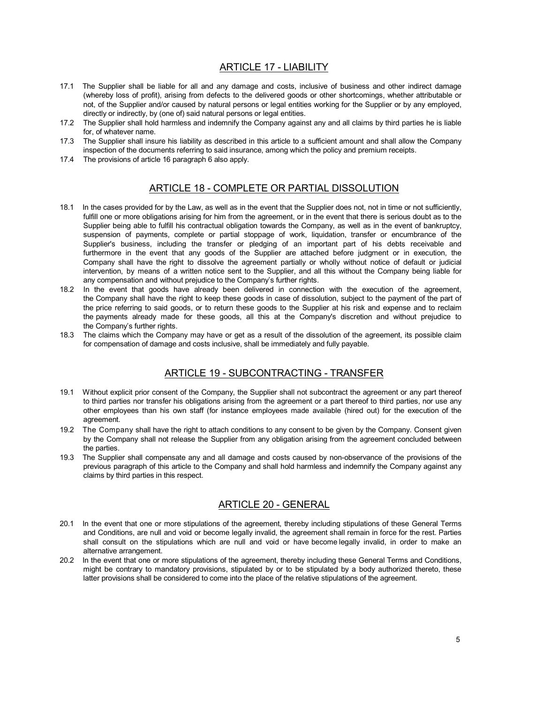### ARTICLE 17 - LIABILITY

- 17.1 The Supplier shall be liable for all and any damage and costs, inclusive of business and other indirect damage (whereby loss of profit), arising from defects to the delivered goods or other shortcomings, whether attributable or not, of the Supplier and/or caused by natural persons or legal entities working for the Supplier or by any employed, directly or indirectly, by (one of) said natural persons or legal entities.
- 17.2 The Supplier shall hold harmless and indemnify the Company against any and all claims by third parties he is liable for, of whatever name.
- 17.3 The Supplier shall insure his liability as described in this article to a sufficient amount and shall allow the Company inspection of the documents referring to said insurance, among which the policy and premium receipts.
- 17.4 The provisions of article 16 paragraph 6 also apply.

### ARTICLE 18 - COMPLETE OR PARTIAL DISSOLUTION

- 18.1 In the cases provided for by the Law, as well as in the event that the Supplier does not, not in time or not sufficiently, fulfill one or more obligations arising for him from the agreement, or in the event that there is serious doubt as to the Supplier being able to fulfill his contractual obligation towards the Company, as well as in the event of bankruptcy, suspension of payments, complete or partial stoppage of work, liquidation, transfer or encumbrance of the Supplier's business, including the transfer or pledging of an important part of his debts receivable and furthermore in the event that any goods of the Supplier are attached before judgment or in execution, the Company shall have the right to dissolve the agreement partially or wholly without notice of default or judicial intervention, by means of a written notice sent to the Supplier, and all this without the Company being liable for any compensation and without prejudice to the Company's further rights.
- 18.2 In the event that goods have already been delivered in connection with the execution of the agreement, the Company shall have the right to keep these goods in case of dissolution, subject to the payment of the part of the price referring to said goods, or to return these goods to the Supplier at his risk and expense and to reclaim the payments already made for these goods, all this at the Company's discretion and without prejudice to the Company's further rights.
- 18.3 The claims which the Company may have or get as a result of the dissolution of the agreement, its possible claim for compensation of damage and costs inclusive, shall be immediately and fully payable.

#### ARTICLE 19 - SUBCONTRACTING - TRANSFER

- 19.1 Without explicit prior consent of the Company, the Supplier shall not subcontract the agreement or any part thereof to third parties nor transfer his obligations arising from the agreement or a part thereof to third parties, nor use any other employees than his own staff (for instance employees made available (hired out) for the execution of the agreement.
- 19.2 The Company shall have the right to attach conditions to any consent to be given by the Company. Consent given by the Company shall not release the Supplier from any obligation arising from the agreement concluded between the parties.
- 19.3 The Supplier shall compensate any and all damage and costs caused by non-observance of the provisions of the previous paragraph of this article to the Company and shall hold harmless and indemnify the Company against any claims by third parties in this respect.

#### ARTICLE 20 - GENERAL

- 20.1 In the event that one or more stipulations of the agreement, thereby including stipulations of these General Terms and Conditions, are null and void or become legally invalid, the agreement shall remain in force for the rest. Parties shall consult on the stipulations which are null and void or have become legally invalid, in order to make an alternative arrangement.
- 20.2 In the event that one or more stipulations of the agreement, thereby including these General Terms and Conditions, might be contrary to mandatory provisions, stipulated by or to be stipulated by a body authorized thereto, these latter provisions shall be considered to come into the place of the relative stipulations of the agreement.